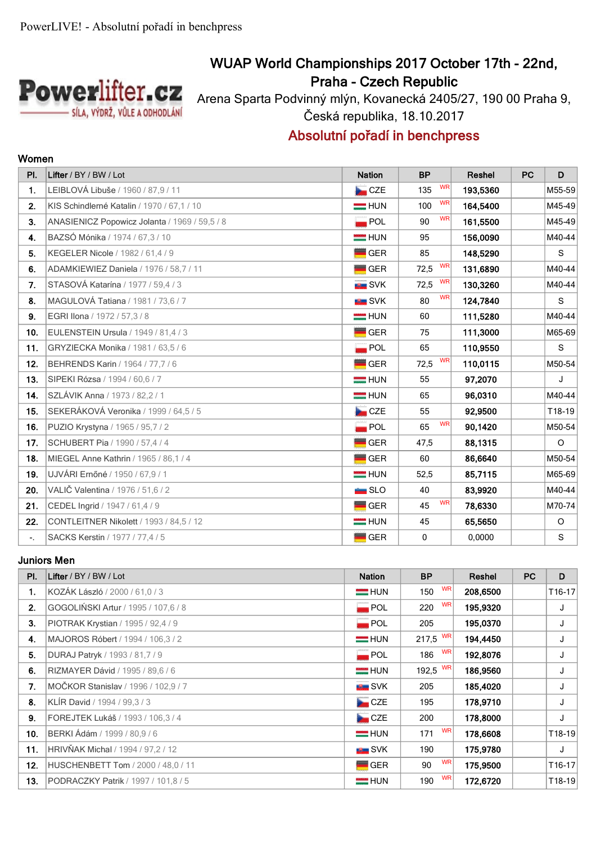

## **WUAP World Championships 2017 October 17th - 22nd, Praha - Czech Republic**

Arena Sparta Podvinný mlýn, Kovanecká 2405/27, 190 00 Praha 9, Česká republika, 18.10.2017

## **Absolutní pořadí in benchpress**

| PI.            | Lifter / BY / BW / Lot                        | <b>Nation</b>      | <b>BP</b>         | <b>Reshel</b> | PC | D        |
|----------------|-----------------------------------------------|--------------------|-------------------|---------------|----|----------|
| 1.             | LEIBLOVÁ Libuše / 1960 / 87,9 / 11            | CZE                | <b>WR</b><br>135  | 193,5360      |    | $M55-59$ |
| 2.             | KIS Schindlerné Katalin / 1970 / 67.1 / 10    | $=$ HUN            | <b>WR</b><br>100  | 164.5400      |    | M45-49   |
| 3 <sub>1</sub> | ANASIENICZ Popowicz Jolanta / 1969 / 59,5 / 8 | <b>POL</b>         | <b>WR</b><br>90   | 161,5500      |    | M45-49   |
| 4.             | BAZSÓ Mónika / 1974 / 67,3 / 10               | $=$ HUN            | 95                | 156,0090      |    | M40-44   |
| 5.             | KEGELER Nicole / 1982 / 61,4 / 9              | <b>GER</b>         | 85                | 148,5290      |    | S        |
| 6.             | ADAMKIEWIEZ Daniela / 1976 / 58,7 / 11        | <b>GER</b>         | <b>WR</b><br>72,5 | 131,6890      |    | M40-44   |
| 7.             | STASOVÁ Katarína / 1977 / 59,4 / 3            | <b>EXAMPLE</b> SVK | WR<br>72,5        | 130,3260      |    | M40-44   |
| 8.             | MAGULOVÁ Tatiana / 1981 / 73,6 / 7            | <b>EL</b> SVK      | <b>WR</b><br>80   | 124,7840      |    | S        |
| 9.             | EGRI IIona / 1972 / 57,3 / 8                  | $=$ HUN            | 60                | 111,5280      |    | $M40-44$ |
| 10.            | EULENSTEIN Ursula / 1949 / 81,4 / 3           | <b>GER</b>         | 75                | 111,3000      |    | M65-69   |
| 11.            | GRYZIECKA Monika / 1981 / 63,5 / 6            | POL                | 65                | 110,9550      |    | S        |
| $12.$          | BEHRENDS Karin / 1964 / 77,7 / 6              | $\blacksquare$ GER | WR<br>72,5        | 110,0115      |    | $M50-54$ |
| 13.            | SIPEKI Rózsa / 1994 / 60,6 / 7                | $=$ HUN            | 55                | 97,2070       |    | J        |
| 14.            | SZLÁVIK Anna / 1973 / 82,2 / 1                | $=$ HUN            | 65                | 96,0310       |    | $M40-44$ |
| 15.            | SEKERÁKOVÁ Veronika / 1999 / 64,5 / 5         | CZE                | 55                | 92,9500       |    | T18-19   |
| 16.            | PUZIO Krystyna / 1965 / 95,7 / 2              | POL                | <b>WR</b><br>65   | 90,1420       |    | $M50-54$ |
| 17.            | SCHUBERT Pia / 1990 / 57,4 / 4                | <b>GER</b>         | 47,5              | 88,1315       |    | $\circ$  |
| 18.            | MIEGEL Anne Kathrin / 1965 / 86,1 / 4         | $\blacksquare$ GER | 60                | 86,6640       |    | $M50-54$ |
| 19.            | UJVÁRI Ernőné / 1950 / 67,9 / 1               | <b>EXAMPLE</b> HUN | 52,5              | 85,7115       |    | M65-69   |
| 20.            | VALIČ Valentina / 1976 / 51,6 / 2             | SLO                | 40                | 83,9920       |    | M40-44   |
| 21.            | CEDEL Ingrid / 1947 / 61,4 / 9                | $\blacksquare$ GER | WR<br>45          | 78,6330       |    | M70-74   |
| 22.            | CONTLEITNER Nikolett / 1993 / 84,5 / 12       | $=$ HUN            | 45                | 65,5650       |    | $\circ$  |
| $\sim 10$      | SACKS Kerstin / 1977 / 77,4 / 5               | <b>GER</b>         | $\mathbf 0$       | 0,0000        |    | S        |

#### **Juniors Men**

| PI. | Lifter / BY / BW / Lot                     | <b>Nation</b>      | <b>BP</b>        | Reshel   | <b>PC</b> | D                   |
|-----|--------------------------------------------|--------------------|------------------|----------|-----------|---------------------|
| 1.  | KOZÁK László / 2000 / 61,0 / 3             | $=$ HUN            | <b>WR</b><br>150 | 208,6500 |           | T <sub>16</sub> -17 |
| 2.  | GOGOLIŃSKI Artur / 1995 / 107,6 / 8        | $\blacksquare$ POL | <b>WR</b><br>220 | 195,9320 |           | J                   |
| 3.  | PIOTRAK Krystian / 1995 / 92,4 / 9         | $\blacksquare$ POL | 205              | 195,0370 |           | J                   |
| 4.  | MAJOROS Róbert / 1994 / 106,3 / 2          | $=$ HUN            | $217,5$ WR       | 194,4450 |           | J                   |
| 5.  | DURAJ Patryk / 1993 / 81.7 / 9             | $\blacksquare$ POL | <b>WR</b><br>186 | 192,8076 |           | J                   |
| 6.  | RIZMAYER Dávid / 1995 / 89,6 / 6           | $=$ HUN            | 192,5 WR         | 186,9560 |           | J                   |
| 7.  | MOČKOR Stanislav / 1996 / 102,9 / 7        | <b>IN SVK</b>      | 205              | 185,4020 |           | J                   |
| 8.  | KLÍR David / 1994 / 99,3 / 3               | CZE                | 195              | 178,9710 |           | J                   |
| 9.  | FOREJTEK Lukáš / 1993 / 106,3 / 4          | CZE                | 200              | 178,8000 |           | J                   |
| 10. | BERKI Ádám / 1999 / 80,9 / 6               | $=$ HUN            | <b>WR</b><br>171 | 178,6608 |           | T18-19              |
| 11. | HRIVŇAK Michal / 1994 / 97,2 / 12          | <del>⊞</del> SVK   | 190              | 175,9780 |           | J                   |
| 12. | HUSCHENBETT Tom / 2000 / 48.0 / 11         | $\blacksquare$ GER | <b>WR</b><br>90  | 175,9500 |           | T16-17              |
| 13. | <b>PODRACZKY Patrik / 1997 / 101.8 / 5</b> | $=$ HUN            | WR<br>190        | 172,6720 |           | T18-19              |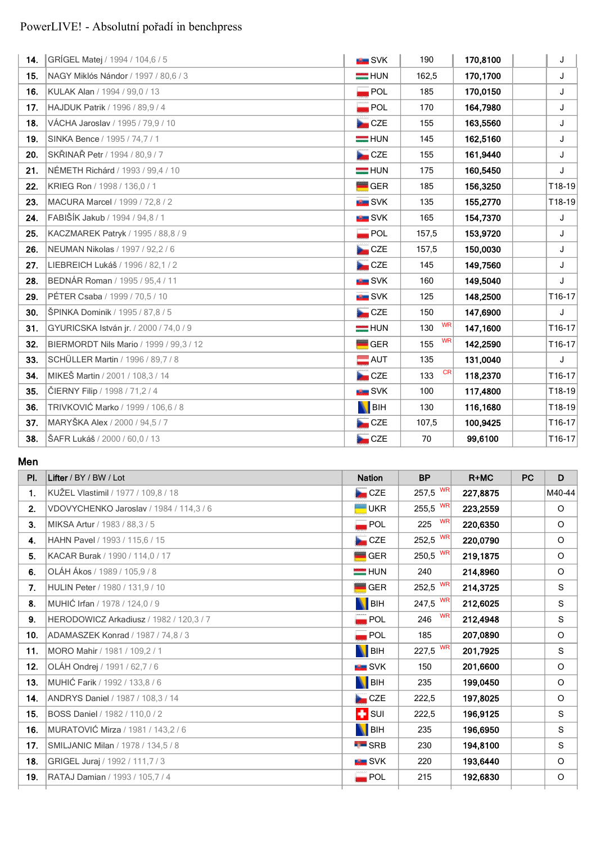| 14. | GRÍGEL Matej / 1994 / 104,6 / 5         | <b>NE SVK</b>      | 190              | 170,8100 | J      |
|-----|-----------------------------------------|--------------------|------------------|----------|--------|
| 15. | NAGY Miklós Nándor / 1997 / 80,6 / 3    | $=$ HUN            | 162,5            | 170,1700 | J      |
| 16. | KULAK Alan / 1994 / 99,0 / 13           | POL                | 185              | 170,0150 | J      |
| 17. | HAJDUK Patrik / 1996 / 89,9 / 4         | POL                | 170              | 164,7980 | J      |
| 18. | VÁCHA Jaroslav / 1995 / 79,9 / 10       | CZE                | 155              | 163,5560 | J      |
| 19. | SINKA Bence / 1995 / 74,7 / 1           | $=$ HUN            | 145              | 162,5160 | J      |
| 20. | SKŘINAŘ Petr / 1994 / 80,9 / 7          | <b>De</b> CZE      | 155              | 161,9440 | J      |
| 21. | NÉMETH Richárd / 1993 / 99,4 / 10       | $=$ HUN            | 175              | 160,5450 | J      |
| 22. | KRIEG Ron / 1998 / 136,0 / 1            | $\blacksquare$ GER | 185              | 156,3250 | T18-19 |
| 23. | MACURA Marcel / 1999 / 72,8 / 2         | <b>SVK</b>         | 135              | 155,2770 | T18-19 |
| 24. | FABIŠÍK Jakub / 1994 / 94,8 / 1         | <b>B</b> SVK       | 165              | 154,7370 | J      |
| 25. | KACZMAREK Patryk / 1995 / 88,8 / 9      | POL                | 157,5            | 153,9720 | J      |
| 26. | NEUMAN Nikolas / 1997 / 92,2 / 6        | CZE                | 157,5            | 150,0030 | J      |
| 27. | LIEBREICH Lukáš / 1996 / 82,1 / 2       | CZE                | 145              | 149,7560 | J      |
| 28. | BEDNÁR Roman / 1995 / 95,4 / 11         | <b>IN SVK</b>      | 160              | 149,5040 | J      |
| 29. | PÉTER Csaba / 1999 / 70,5 / 10          | <b>EL</b> SVK      | 125              | 148,2500 | T16-17 |
| 30. | ŠPINKA Dominik / 1995 / 87,8 / 5        | CZE                | 150              | 147,6900 | J      |
| 31. | GYURICSKA István jr. / 2000 / 74,0 / 9  | $=$ HUN            | <b>WR</b><br>130 | 147,1600 | T16-17 |
| 32. | BIERMORDT Nils Mario / 1999 / 99,3 / 12 | <b>GER</b>         | <b>WR</b><br>155 | 142,2590 | T16-17 |
| 33. | SCHÜLLER Martin / 1996 / 89,7 / 8       | $\blacksquare$ AUT | 135              | 131,0040 | J      |
| 34. | MIKEŠ Martin / 2001 / 108,3 / 14        | CZE                | <b>CR</b><br>133 | 118,2370 | T16-17 |
| 35. | ČIERNY Filip / 1998 / 71,2 / 4          | <b>SVK</b>         | 100              | 117,4800 | T18-19 |
| 36. | TRIVKOVIĆ Marko / 1999 / 106,6 / 8      | <b>N</b> BIH       | 130              | 116,1680 | T18-19 |
| 37. | MARYŠKA Alex / 2000 / 94,5 / 7          | CZE                | 107,5            | 100,9425 | T16-17 |
| 38. | ŠAFR Lukáš / 2000 / 60,0 / 13           | CZE                | 70               | 99,6100  | T16-17 |

**Men**

| Lifter / BY / BW / Lot                  | <b>Nation</b>      | <b>BP</b>        | $R+MC$   | <b>PC</b> | D       |
|-----------------------------------------|--------------------|------------------|----------|-----------|---------|
| KUŽEL Vlastimil / 1977 / 109,8 / 18     | CZE                | $257,5$ WR       | 227,8875 |           | M40-44  |
| VDOVYCHENKO Jaroslav / 1984 / 114,3 / 6 | <b>UKR</b>         | 255,5 $W$ R      | 223,2559 |           | $\circ$ |
| MIKSA Artur / 1983 / 88,3 / 5           | $\blacksquare$ POL | <b>WR</b><br>225 | 220,6350 |           | $\circ$ |
| HAHN Pavel / 1993 / 115,6 / 15          | CZE                | 252,5 WR         | 220,0790 |           | $\circ$ |
| KACAR Burak / 1990 / 114,0 / 17         | <b>GER</b>         | 250,5 WR         | 219,1875 |           | $\circ$ |
| OLÁH Ákos / 1989 / 105,9 / 8            | $=$ HUN            | 240              | 214,8960 |           | $\circ$ |
| HULIN Peter / 1980 / 131,9 / 10         | <b>GER</b>         | 252,5 WR         | 214,3725 |           | S       |
| MUHIĆ Irfan / 1978 / 124,0 / 9          | BIH                | 247,5 $W$ R      | 212,6025 |           | S       |
| HERODOWICZ Arkadiusz / 1982 / 120,3 / 7 | $\blacksquare$ POL | <b>WR</b><br>246 | 212,4948 |           | S       |
| ADAMASZEK Konrad / 1987 / 74,8 / 3      | $\blacksquare$ POL | 185              | 207,0890 |           | $\circ$ |
| MORO Mahir / 1981 / 109,2 / 1           | <b>N</b> BIH       | 227,5 WR         | 201,7925 |           | S       |
| OLÁH Ondrej / 1991 / 62,7 / 6           | $\blacksquare$ SVK | 150              | 201,6600 |           | $\circ$ |
| MUHIĆ Farik / 1992 / 133.8 / 6          | <b>BIH</b>         | 235              | 199,0450 |           | $\circ$ |
| ANDRYS Daniel / 1987 / 108.3 / 14       | CZE                | 222,5            | 197,8025 |           | $\circ$ |
| BOSS Daniel / 1982 / 110,0 / 2          | $\blacksquare$ SUI | 222,5            | 196,9125 |           | S       |
| MURATOVIĆ Mirza / 1981 / 143,2 / 6      | BIH                | 235              | 196,6950 |           | S       |
| SMILJANIC Milan / 1978 / 134,5 / 8      | $\blacksquare$ SRB | 230              | 194,8100 |           | S       |
| GRIGEL Juraj / 1992 / 111,7 / 3         | <b>EL</b> SVK      | 220              | 193,6440 |           | $\circ$ |
| RATAJ Damian / 1993 / 105,7 / 4         | $\blacksquare$ POL | 215              | 192,6830 |           | $\circ$ |
|                                         |                    |                  |          |           |         |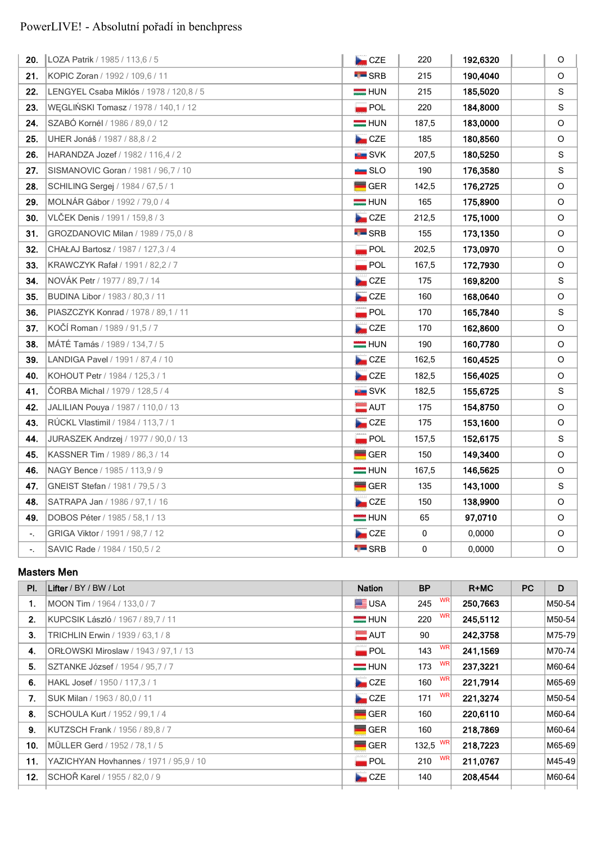| 20.                        | LOZA Patrik / 1985 / 113,6 / 5          | <b>De</b> CZE      | 220   | 192,6320 | O       |
|----------------------------|-----------------------------------------|--------------------|-------|----------|---------|
| 21.                        | KOPIC Zoran / 1992 / 109.6 / 11         | $\blacksquare$ SRB | 215   | 190,4040 | O       |
| 22.                        | LENGYEL Csaba Miklós / 1978 / 120,8 / 5 | $=$ HUN            | 215   | 185,5020 | S       |
| 23.                        | WĘGLIŃSKI Tomasz / 1978 / 140,1 / 12    | $\blacksquare$ POL | 220   | 184,8000 | S       |
| 24.                        | SZABÓ Kornél / 1986 / 89,0 / 12         | $=$ HUN            | 187,5 | 183,0000 | O       |
| 25.                        | UHER Jonáš / 1987 / 88,8 / 2            | <b>De</b> CZE      | 185   | 180,8560 | O       |
| 26.                        | HARANDZA Jozef / 1982 / 116,4 / 2       | <b>EXAMPLE</b> SVK | 207,5 | 180,5250 | S       |
| 27.                        | SISMANOVIC Goran / 1981 / 96,7 / 10     | $\equiv$ SLO       | 190   | 176,3580 | S       |
| 28.                        | SCHILING Sergej / 1984 / 67,5 / 1       | $\blacksquare$ GER | 142,5 | 176,2725 | $\circ$ |
| 29.                        | MOLNÁR Gábor / 1992 / 79,0 / 4          | $=$ HUN            | 165   | 175,8900 | O       |
| 30.                        | VLČEK Denis / 1991 / 159,8 / 3          | CZE                | 212,5 | 175,1000 | O       |
| 31.                        | GROZDANOVIC Milan / 1989 / 75,0 / 8     | $\blacksquare$ SRB | 155   | 173,1350 | O       |
| 32.                        | CHAŁAJ Bartosz / 1987 / 127,3 / 4       | $\blacksquare$ POL | 202,5 | 173,0970 | O       |
| 33.                        | KRAWCZYK Rafał / 1991 / 82,2 / 7        | $\blacksquare$ POL | 167,5 | 172,7930 | O       |
| 34.                        | NOVÁK Petr / 1977 / 89,7 / 14           | <b>De</b> CZE      | 175   | 169,8200 | S       |
| 35.                        | BUDINA Libor / 1983 / 80,3 / 11         | CZE                | 160   | 168,0640 | O       |
| 36.                        | PIASZCZYK Konrad / 1978 / 89,1 / 11     | $\blacksquare$ POL | 170   | 165,7840 | S       |
| 37.                        | KOČÍ Roman / 1989 / 91,5 / 7            | CZE                | 170   | 162,8600 | O       |
| 38.                        | MÁTÉ Tamás / 1989 / 134, 7 / 5          | $=$ HUN            | 190   | 160,7780 | O       |
| 39.                        | LANDIGA Pavel / 1991 / 87,4 / 10        | <b>Det</b> CZE     | 162,5 | 160,4525 | O       |
| 40.                        | KOHOUT Petr / 1984 / 125,3 / 1          | CZE                | 182,5 | 156,4025 | O       |
| 41.                        | CORBA Michal / 1979 / 128,5 / 4         | <b>BE</b> SVK      | 182,5 | 155,6725 | S       |
| 42.                        | JALILIAN Pouya / 1987 / 110,0 / 13      | $\blacksquare$ AUT | 175   | 154,8750 | $\circ$ |
| 43.                        | RUCKL Vlastimil / 1984 / 113,7 / 1      | CZE                | 175   | 153,1600 | O       |
| 44.                        | JURASZEK Andrzej / 1977 / 90,0 / 13     | $\blacksquare$ POL | 157,5 | 152,6175 | S       |
| 45.                        | KASSNER Tim / 1989 / 86,3 / 14          | $\blacksquare$ GER | 150   | 149,3400 | $\circ$ |
| 46.                        | NAGY Bence / 1985 / 113,9 / 9           | $=$ HUN            | 167,5 | 146,5625 | O       |
| 47.                        | GNEIST Stefan / 1981 / 79,5 / 3         | $=$ GER            | 135   | 143,1000 | S       |
| 48.                        | SATRAPA Jan / 1986 / 97,1 / 16          | CZE                | 150   | 138,9900 | $\circ$ |
| 49.                        | DOBOS Péter / 1985 / 58,1 / 13          | $=$ HUN            | 65    | 97,0710  | O       |
| $\overline{\phantom{a}}$ . | GRIGA Viktor / 1991 / 98,7 / 12         | <b>De</b> CZE      | 0     | 0,0000   | O       |
| ۰.                         | SAVIC Rade / 1984 / 150,5 / 2           | $\blacksquare$ SRB | 0     | 0,0000   | O       |

#### **Masters Men**

| PI. | Lifter / BY / BW / Lot                 | <b>Nation</b>      | <b>BP</b>        | $R+MC$   | <b>PC</b> | D      |
|-----|----------------------------------------|--------------------|------------------|----------|-----------|--------|
| 1.  | MOON Tim / 1964 / 133,0 / 7            | <b>E</b> USA       | <b>WR</b><br>245 | 250,7663 |           | M50-54 |
| 2.  | KUPCSIK László / 1967 / 89,7 / 11      | $=$ HUN            | <b>WR</b><br>220 | 245,5112 |           | M50-54 |
| 3.  | TRICHLIN Erwin / 1939 / 63,1 / 8       | $\blacksquare$ AUT | 90               | 242,3758 |           | M75-79 |
| 4.  | ORŁOWSKI Miroslaw / 1943 / 97.1 / 13   | $\blacksquare$ POL | WR<br>143        | 241,1569 |           | M70-74 |
| 5.  | SZTANKE József / 1954 / 95,7 / 7       | $=$ HUN            | 173 $WR$         | 237,3221 |           | M60-64 |
| 6.  | HAKL Josef / 1950 / 117,3 / 1          | CZE                | <b>WR</b><br>160 | 221,7914 |           | M65-69 |
| 7.  | SUK Milan / 1963 / 80.0 / 11           | CZE                | <b>WR</b><br>171 | 221,3274 |           | M50-54 |
| 8.  | SCHOULA Kurt / 1952 / 99,1 / 4         | $\blacksquare$ GER | 160              | 220,6110 |           | M60-64 |
| 9.  | KUTZSCH Frank / 1956 / 89.8 / 7        | <b>GER</b>         | 160              | 218,7869 |           | M60-64 |
| 10. | MÜLLER Gerd / 1952 / 78,1 / 5          | GER                | 132,5 $W$ R      | 218,7223 |           | M65-69 |
| 11. | YAZICHYAN Hovhannes / 1971 / 95,9 / 10 | $\blacksquare$ POL | <b>WR</b><br>210 | 211,0767 |           | M45-49 |
| 12. | SCHOŘ Karel / 1955 / 82,0 / 9          | CZE                | 140              | 208,4544 |           | M60-64 |
|     |                                        |                    |                  |          |           |        |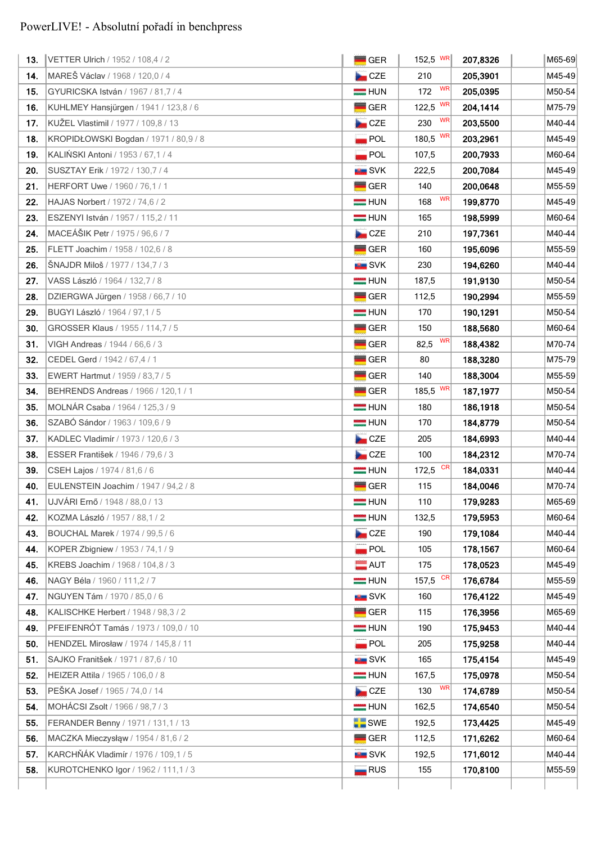| 13.   | VETTER Ulrich / 1952 / 108,4 / 2      | <b>GER</b>                   | 152,5 $W$ R      | 207,8326  | M65-69 |
|-------|---------------------------------------|------------------------------|------------------|-----------|--------|
| 14.   | MAREŠ Václav / 1968 / 120,0 / 4       | CZE                          | 210              | 205,3901  | M45-49 |
| 15.   | GYURICSKA István / 1967 / 81,7 / 4    | $=$ HUN                      | WR<br>172        | 205,0395  | M50-54 |
| 16.   | KUHLMEY Hansjürgen / 1941 / 123,8 / 6 | <b>GER</b>                   | WR<br>122,5      | 204, 1414 | M75-79 |
| $17.$ | KUŽEL Vlastimil / 1977 / 109,8 / 13   | CZE                          | <b>WR</b><br>230 | 203,5500  | M40-44 |
| 18.   | KROPIDŁOWSKI Bogdan / 1971 / 80,9 / 8 | <b>POL</b>                   | WR<br>180,5      | 203,2961  | M45-49 |
| 19.   | KALIŃSKI Antoni / 1953 / 67,1 / 4     | POL                          | 107,5            | 200,7933  | M60-64 |
| 20.   | SUSZTAY Erik / 1972 / 130,7 / 4       | <b>EXAMPLE</b> SVK           | 222,5            | 200,7084  | M45-49 |
| 21.   | HERFORT Uwe / 1960 / 76,1 / 1         | GER                          | 140              | 200,0648  | M55-59 |
| 22.   | HAJAS Norbert / 1972 / 74,6 / 2       | $=$ HUN                      | <b>WR</b><br>168 | 199,8770  | M45-49 |
| 23.   | ESZENYI István / 1957 / 115,2 / 11    | $=$ HUN                      | 165              | 198,5999  | M60-64 |
| 24.   | MACEÁŠIK Petr / 1975 / 96,6 / 7       | <b>Det</b> CZE               | 210              | 197,7361  | M40-44 |
| 25.   | FLETT Joachim / 1958 / 102,6 / 8      | <b>GER</b>                   | 160              | 195,6096  | M55-59 |
| 26.   | ŠNAJDR Miloš / 1977 / 134,7 / 3       | <b>BER</b> SVK               | 230              | 194,6260  | M40-44 |
| 27.   | VASS László / 1964 / 132,7 / 8        | $=$ HUN                      | 187,5            | 191,9130  | M50-54 |
| 28.   | DZIERGWA Jürgen / 1958 / 66,7 / 10    | <b>GER</b>                   | 112,5            | 190,2994  | M55-59 |
| 29.   | BUGYI László / 1964 / 97,1 / 5        | $=$ HUN                      | 170              | 190,1291  | M50-54 |
| 30.   | GROSSER Klaus / 1955 / 114,7 / 5      | <b>GER</b>                   | 150              | 188,5680  | M60-64 |
| 31.   | VIGH Andreas / 1944 / 66,6 / 3        | <b>GER</b>                   | WR<br>82,5       | 188,4382  | M70-74 |
| 32.   | CEDEL Gerd / 1942 / 67,4 / 1          | <b>GER</b>                   | 80               | 188,3280  | M75-79 |
| 33.   | EWERT Hartmut / 1959 / 83,7 / 5       | GER                          | 140              | 188,3004  | M55-59 |
| 34.   | BEHRENDS Andreas / 1966 / 120,1 / 1   | <b>GER</b>                   | WR<br>185,5      | 187,1977  | M50-54 |
| 35.   | MOLNÁR Csaba / 1964 / 125,3 / 9       | $=$ HUN                      | 180              | 186,1918  | M50-54 |
| 36.   | SZABÓ Sándor / 1963 / 109,6 / 9       | $=$ HUN                      | 170              | 184,8779  | M50-54 |
| 37.   | KADLEC Vladimír / 1973 / 120,6 / 3    | CZE                          | 205              | 184,6993  | M40-44 |
| 38.   | ESSER František / 1946 / 79,6 / 3     | CZE                          | 100              | 184,2312  | M70-74 |
| 39.   | CSEH Lajos / 1974 / 81,6 / 6          | $=$ HUN                      | CR<br>172,5      | 184,0331  | M40-44 |
| 40.   | EULENSTEIN Joachim / 1947 / 94,2 / 8  | <b>GER</b>                   | 115              | 184,0046  | M70-74 |
| 41.   | UJVÁRI Ernő / 1948 / 88,0 / 13        | $=$ HUN                      | 110              | 179,9283  | M65-69 |
| 42.   | KOZMA László / 1957 / 88.1 / 2        | $=$ HUN                      | 132,5            | 179,5953  | M60-64 |
| 43.   | BOUCHAL Marek / 1974 / 99,5 / 6       | <b>De</b> CZE                | 190              | 179,1084  | M40-44 |
| 44.   | KOPER Zbigniew / 1953 / 74,1 / 9      | $\overline{\phantom{a}}$ POL | 105              | 178,1567  | M60-64 |
| 45.   | KREBS Joachim / 1968 / 104,8 / 3      | $\blacksquare$ AUT           | 175              | 178,0523  | M45-49 |
| 46.   | NAGY Béla / 1960 / 111,2 / 7          | $=$ HUN                      | CR<br>157,5      | 176,6784  | M55-59 |
| 47.   | NGUYEN Tám / 1970 / 85,0 / 6          | <b>ERIC SVK</b>              | 160              | 176,4122  | M45-49 |
| 48.   | KALISCHKE Herbert / 1948 / 98,3 / 2   | <b>GER</b>                   | 115              | 176,3956  | M65-69 |
| 49.   | PFEIFENRÓT Tamás / 1973 / 109,0 / 10  | <b>HUN</b>                   | 190              | 175,9453  | M40-44 |
| 50.   | HENDZEL Mirosław / 1974 / 145,8 / 11  | $\blacksquare$ POL           | 205              | 175,9258  | M40-44 |
| 51.   | SAJKO Franitšek / 1971 / 87,6 / 10    | <b>NH</b> SVK                | 165              | 175,4154  | M45-49 |
| 52.   | HEIZER Attila / 1965 / 106,0 / 8      | $=$ HUN                      | 167,5            | 175,0978  | M50-54 |
| 53.   | PEŠKA Josef / 1965 / 74,0 / 14        | CZE                          | WR<br>130        | 174,6789  | M50-54 |
| 54.   | MOHÁCSI Zsolt / 1966 / 98,7 / 3       | $=$ HUN                      | 162,5            | 174,6540  | M50-54 |
| 55.   | FERANDER Benny / 1971 / 131,1 / 13    | <b>SWE</b>                   | 192,5            | 173,4425  | M45-49 |
| 56.   | MACZKA Mieczysłąw / 1954 / 81,6 / 2   | GER                          | 112,5            | 171,6262  | M60-64 |
| 57.   | KARCHŇÁK Vladimír / 1976 / 109,1 / 5  | <b>SVK</b>                   | 192,5            | 171,6012  | M40-44 |
| 58.   | KUROTCHENKO Igor / 1962 / 111, 1 / 3  | $\blacksquare$ RUS           | 155              | 170,8100  | M55-59 |
|       |                                       |                              |                  |           |        |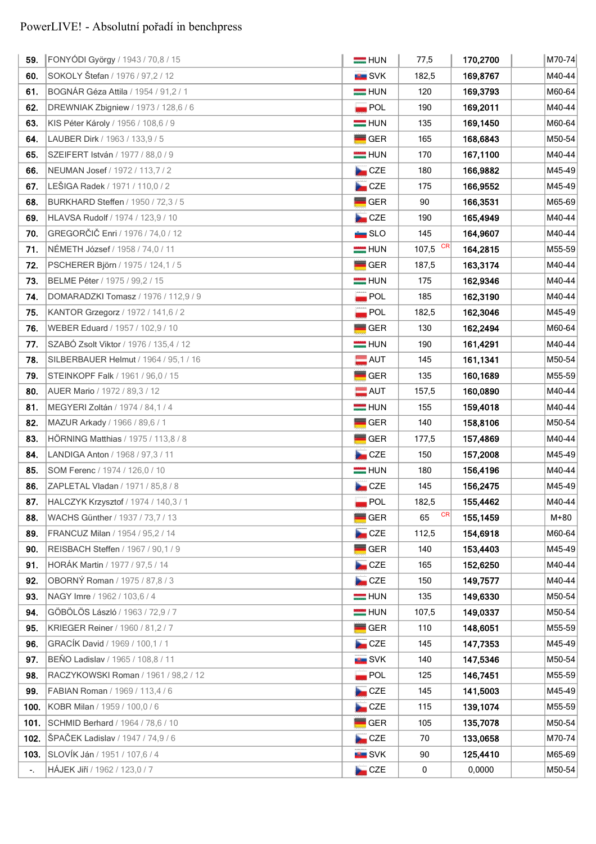| SOKOLY Štefan / 1976 / 97,2 / 12<br><b>BU</b> SVK<br>60.<br>182,5<br>169,8767<br>BOGNÁR Géza Attila / 1954 / 91,2 / 1<br>61.<br>$=$ HUN<br>120<br>169,3793<br>62.<br>DREWNIAK Zbigniew / 1973 / 128,6 / 6<br><b>POL</b><br>190<br>169,2011<br>63.<br>169,1450<br>KIS Péter Károly / 1956 / 108,6 / 9<br>$=$ HUN<br>135<br>GER<br>64.<br>LAUBER Dirk / 1963 / 133,9 / 5<br>165<br>168,6843<br>167,1100<br>65.<br>SZEIFERT István / 1977 / 88,0 / 9<br>$\equiv$ HUN<br>170<br>66.<br>CZE<br>180<br>166,9882<br>NEUMAN Josef / 1972 / 113,7 / 2<br>LEŠIGA Radek / 1971 / 110,0 / 2<br>CZE<br>67.<br>166,9552<br>175<br>68.<br>BURKHARD Steffen / 1950 / 72,3 / 5<br>GER<br>90<br>166,3531<br>CZE<br>165,4949<br>69.<br>HLAVSA Rudolf / 1974 / 123,9 / 10<br>190<br>GREGORČIČ Enri / 1976 / 74,0 / 12<br>70.<br>SLO<br>145<br>164,9607<br><b>CR</b><br>107,5<br>NÉMETH József / 1958 / 74,0 / 11<br>71.<br>$=$ HUN<br>164,2815<br><b>GER</b><br>72.<br>PSCHERER Björn / 1975 / 124,1 / 5<br>187,5<br>163,3174<br>73.<br>BELME Péter / 1975 / 99,2 / 15<br>$=$ HUN<br>175<br>162,9346<br>$\overline{\phantom{a}}$ POL<br>185<br>162,3190<br>74.<br>DOMARADZKI Tomasz / 1976 / 112,9 / 9<br>$\blacksquare$ POL<br>162,3046<br>75.<br>KANTOR Grzegorz / 1972 / 141,6 / 2<br>182,5<br>GER<br>76.<br>WEBER Eduard / 1957 / 102,9 / 10<br>130<br>162,2494<br>SZABÓ Zsolt Viktor / 1976 / 135,4 / 12<br>77.<br>$=$ HUN<br>190<br>161,4291<br>$\blacksquare$ AUT<br>161,1341<br>78.<br>SILBERBAUER Helmut / 1964 / 95,1 / 16<br>145<br>GER<br>160,1689<br>79.<br>STEINKOPF Falk / 1961 / 96,0 / 15<br>135<br>$\blacksquare$ AUT<br>157,5<br>80.<br>AUER Mario / 1972 / 89,3 / 12<br>160,0890<br>81.<br>MEGYERI Zoltán / 1974 / 84,1 / 4<br>$=$ HUN<br>159,4018<br>155<br>GER<br>82.<br>MAZUR Arkady / 1966 / 89,6 / 1<br>140<br>158,8106<br>83.<br><b>GER</b><br>HÖRNING Matthias / 1975 / 113,8 / 8<br>157,4869<br>177,5<br>CZE<br>84.<br>LANDIGA Anton / 1968 / 97,3 / 11<br>150<br>157,2008<br>85.<br>SOM Ferenc / 1974 / 126,0 / 10<br>$=$ HUN<br>180<br>156,4196<br>86.<br>CZE<br>156,2475<br>ZAPLETAL Vladan / 1971 / 85,8 / 8<br>145<br>87.<br>182,5<br>155,4462<br>HALCZYK Krzysztof / 1974 / 140,3 / 1<br>$\blacksquare$ POL<br><b>CR</b><br>GER<br>WACHS Günther / 1937 / 73,7 / 13<br>65<br>155,1459<br>88.<br>CZE<br>89.<br>FRANCUZ Milan / 1954 / 95.2 / 14<br>112,5<br>154,6918<br>90.<br>REISBACH Steffen / 1967 / 90,1 / 9<br><b>GER</b><br>140<br>153,4403<br>HORÁK Martin / 1977 / 97,5 / 14<br>91.<br><b>De</b> CZE<br>165<br>152,6250<br>OBORNÝ Roman / 1975 / 87,8 / 3<br>CZE<br>92.<br>150<br>149,7577<br>93.<br>NAGY Imre / 1962 / 103,6 / 4<br>$=$ HUN<br>135<br>149,6330<br>GÖBÖLÖS László / 1963 / 72,9 / 7<br>94.<br>$=$ HUN<br>149,0337<br>107,5<br>95.<br>KRIEGER Reiner / 1960 / 81,2 / 7<br><b>GER</b><br>110<br>148,6051<br>GRACÍK David / 1969 / 100,1 / 1<br>CZE<br>96.<br>145<br>147,7353<br>BEŇO Ladislav / 1965 / 108,8 / 11<br>97.<br><b>NEW SVK</b><br>140<br>147,5346<br>98.<br>RACZYKOWSKI Roman / 1961 / 98,2 / 12<br>POL<br>146,7451<br>125<br>FABIAN Roman / 1969 / 113,4 / 6<br>CZE<br>141,5003<br>99.<br>145<br>CZE<br>KOBR Milan / 1959 / 100,0 / 6<br>139,1074<br>100.<br>115<br>101.<br><b>GER</b><br>135,7078<br>SCHMID Berhard / 1964 / 78,6 / 10<br>105<br>ŠPAČEK Ladislav / 1947 / 74,9 / 6<br>102.<br>CZE<br>133,0658<br>70<br>103.<br>SLOVÍK Ján / 1951 / 107,6 / 4<br><b>SVK</b><br>125,4410<br>90 | 59.                        | FONYÓDI György / 1943 / 70,8 / 15 | $=$ HUN    | 77,5 | 170,2700 | M70-74 |
|------------------------------------------------------------------------------------------------------------------------------------------------------------------------------------------------------------------------------------------------------------------------------------------------------------------------------------------------------------------------------------------------------------------------------------------------------------------------------------------------------------------------------------------------------------------------------------------------------------------------------------------------------------------------------------------------------------------------------------------------------------------------------------------------------------------------------------------------------------------------------------------------------------------------------------------------------------------------------------------------------------------------------------------------------------------------------------------------------------------------------------------------------------------------------------------------------------------------------------------------------------------------------------------------------------------------------------------------------------------------------------------------------------------------------------------------------------------------------------------------------------------------------------------------------------------------------------------------------------------------------------------------------------------------------------------------------------------------------------------------------------------------------------------------------------------------------------------------------------------------------------------------------------------------------------------------------------------------------------------------------------------------------------------------------------------------------------------------------------------------------------------------------------------------------------------------------------------------------------------------------------------------------------------------------------------------------------------------------------------------------------------------------------------------------------------------------------------------------------------------------------------------------------------------------------------------------------------------------------------------------------------------------------------------------------------------------------------------------------------------------------------------------------------------------------------------------------------------------------------------------------------------------------------------------------------------------------------------------------------------------------------------------------------------------------------------------------------------------------------------------------------------------------------------------------------------------------------------------------------------------------------------------------------------------------------------------------------------------------------------------------------------------------------------------------------------|----------------------------|-----------------------------------|------------|------|----------|--------|
|                                                                                                                                                                                                                                                                                                                                                                                                                                                                                                                                                                                                                                                                                                                                                                                                                                                                                                                                                                                                                                                                                                                                                                                                                                                                                                                                                                                                                                                                                                                                                                                                                                                                                                                                                                                                                                                                                                                                                                                                                                                                                                                                                                                                                                                                                                                                                                                                                                                                                                                                                                                                                                                                                                                                                                                                                                                                                                                                                                                                                                                                                                                                                                                                                                                                                                                                                                                                                                                |                            |                                   |            |      |          | M40-44 |
|                                                                                                                                                                                                                                                                                                                                                                                                                                                                                                                                                                                                                                                                                                                                                                                                                                                                                                                                                                                                                                                                                                                                                                                                                                                                                                                                                                                                                                                                                                                                                                                                                                                                                                                                                                                                                                                                                                                                                                                                                                                                                                                                                                                                                                                                                                                                                                                                                                                                                                                                                                                                                                                                                                                                                                                                                                                                                                                                                                                                                                                                                                                                                                                                                                                                                                                                                                                                                                                |                            |                                   |            |      |          | M60-64 |
|                                                                                                                                                                                                                                                                                                                                                                                                                                                                                                                                                                                                                                                                                                                                                                                                                                                                                                                                                                                                                                                                                                                                                                                                                                                                                                                                                                                                                                                                                                                                                                                                                                                                                                                                                                                                                                                                                                                                                                                                                                                                                                                                                                                                                                                                                                                                                                                                                                                                                                                                                                                                                                                                                                                                                                                                                                                                                                                                                                                                                                                                                                                                                                                                                                                                                                                                                                                                                                                |                            |                                   |            |      |          | M40-44 |
|                                                                                                                                                                                                                                                                                                                                                                                                                                                                                                                                                                                                                                                                                                                                                                                                                                                                                                                                                                                                                                                                                                                                                                                                                                                                                                                                                                                                                                                                                                                                                                                                                                                                                                                                                                                                                                                                                                                                                                                                                                                                                                                                                                                                                                                                                                                                                                                                                                                                                                                                                                                                                                                                                                                                                                                                                                                                                                                                                                                                                                                                                                                                                                                                                                                                                                                                                                                                                                                |                            |                                   |            |      |          | M60-64 |
|                                                                                                                                                                                                                                                                                                                                                                                                                                                                                                                                                                                                                                                                                                                                                                                                                                                                                                                                                                                                                                                                                                                                                                                                                                                                                                                                                                                                                                                                                                                                                                                                                                                                                                                                                                                                                                                                                                                                                                                                                                                                                                                                                                                                                                                                                                                                                                                                                                                                                                                                                                                                                                                                                                                                                                                                                                                                                                                                                                                                                                                                                                                                                                                                                                                                                                                                                                                                                                                |                            |                                   |            |      |          | M50-54 |
|                                                                                                                                                                                                                                                                                                                                                                                                                                                                                                                                                                                                                                                                                                                                                                                                                                                                                                                                                                                                                                                                                                                                                                                                                                                                                                                                                                                                                                                                                                                                                                                                                                                                                                                                                                                                                                                                                                                                                                                                                                                                                                                                                                                                                                                                                                                                                                                                                                                                                                                                                                                                                                                                                                                                                                                                                                                                                                                                                                                                                                                                                                                                                                                                                                                                                                                                                                                                                                                |                            |                                   |            |      |          | M40-44 |
|                                                                                                                                                                                                                                                                                                                                                                                                                                                                                                                                                                                                                                                                                                                                                                                                                                                                                                                                                                                                                                                                                                                                                                                                                                                                                                                                                                                                                                                                                                                                                                                                                                                                                                                                                                                                                                                                                                                                                                                                                                                                                                                                                                                                                                                                                                                                                                                                                                                                                                                                                                                                                                                                                                                                                                                                                                                                                                                                                                                                                                                                                                                                                                                                                                                                                                                                                                                                                                                |                            |                                   |            |      |          | M45-49 |
|                                                                                                                                                                                                                                                                                                                                                                                                                                                                                                                                                                                                                                                                                                                                                                                                                                                                                                                                                                                                                                                                                                                                                                                                                                                                                                                                                                                                                                                                                                                                                                                                                                                                                                                                                                                                                                                                                                                                                                                                                                                                                                                                                                                                                                                                                                                                                                                                                                                                                                                                                                                                                                                                                                                                                                                                                                                                                                                                                                                                                                                                                                                                                                                                                                                                                                                                                                                                                                                |                            |                                   |            |      |          | M45-49 |
|                                                                                                                                                                                                                                                                                                                                                                                                                                                                                                                                                                                                                                                                                                                                                                                                                                                                                                                                                                                                                                                                                                                                                                                                                                                                                                                                                                                                                                                                                                                                                                                                                                                                                                                                                                                                                                                                                                                                                                                                                                                                                                                                                                                                                                                                                                                                                                                                                                                                                                                                                                                                                                                                                                                                                                                                                                                                                                                                                                                                                                                                                                                                                                                                                                                                                                                                                                                                                                                |                            |                                   |            |      |          | M65-69 |
|                                                                                                                                                                                                                                                                                                                                                                                                                                                                                                                                                                                                                                                                                                                                                                                                                                                                                                                                                                                                                                                                                                                                                                                                                                                                                                                                                                                                                                                                                                                                                                                                                                                                                                                                                                                                                                                                                                                                                                                                                                                                                                                                                                                                                                                                                                                                                                                                                                                                                                                                                                                                                                                                                                                                                                                                                                                                                                                                                                                                                                                                                                                                                                                                                                                                                                                                                                                                                                                |                            |                                   |            |      |          | M40-44 |
|                                                                                                                                                                                                                                                                                                                                                                                                                                                                                                                                                                                                                                                                                                                                                                                                                                                                                                                                                                                                                                                                                                                                                                                                                                                                                                                                                                                                                                                                                                                                                                                                                                                                                                                                                                                                                                                                                                                                                                                                                                                                                                                                                                                                                                                                                                                                                                                                                                                                                                                                                                                                                                                                                                                                                                                                                                                                                                                                                                                                                                                                                                                                                                                                                                                                                                                                                                                                                                                |                            |                                   |            |      |          | M40-44 |
|                                                                                                                                                                                                                                                                                                                                                                                                                                                                                                                                                                                                                                                                                                                                                                                                                                                                                                                                                                                                                                                                                                                                                                                                                                                                                                                                                                                                                                                                                                                                                                                                                                                                                                                                                                                                                                                                                                                                                                                                                                                                                                                                                                                                                                                                                                                                                                                                                                                                                                                                                                                                                                                                                                                                                                                                                                                                                                                                                                                                                                                                                                                                                                                                                                                                                                                                                                                                                                                |                            |                                   |            |      |          | M55-59 |
|                                                                                                                                                                                                                                                                                                                                                                                                                                                                                                                                                                                                                                                                                                                                                                                                                                                                                                                                                                                                                                                                                                                                                                                                                                                                                                                                                                                                                                                                                                                                                                                                                                                                                                                                                                                                                                                                                                                                                                                                                                                                                                                                                                                                                                                                                                                                                                                                                                                                                                                                                                                                                                                                                                                                                                                                                                                                                                                                                                                                                                                                                                                                                                                                                                                                                                                                                                                                                                                |                            |                                   |            |      |          | M40-44 |
|                                                                                                                                                                                                                                                                                                                                                                                                                                                                                                                                                                                                                                                                                                                                                                                                                                                                                                                                                                                                                                                                                                                                                                                                                                                                                                                                                                                                                                                                                                                                                                                                                                                                                                                                                                                                                                                                                                                                                                                                                                                                                                                                                                                                                                                                                                                                                                                                                                                                                                                                                                                                                                                                                                                                                                                                                                                                                                                                                                                                                                                                                                                                                                                                                                                                                                                                                                                                                                                |                            |                                   |            |      |          | M40-44 |
|                                                                                                                                                                                                                                                                                                                                                                                                                                                                                                                                                                                                                                                                                                                                                                                                                                                                                                                                                                                                                                                                                                                                                                                                                                                                                                                                                                                                                                                                                                                                                                                                                                                                                                                                                                                                                                                                                                                                                                                                                                                                                                                                                                                                                                                                                                                                                                                                                                                                                                                                                                                                                                                                                                                                                                                                                                                                                                                                                                                                                                                                                                                                                                                                                                                                                                                                                                                                                                                |                            |                                   |            |      |          | M40-44 |
|                                                                                                                                                                                                                                                                                                                                                                                                                                                                                                                                                                                                                                                                                                                                                                                                                                                                                                                                                                                                                                                                                                                                                                                                                                                                                                                                                                                                                                                                                                                                                                                                                                                                                                                                                                                                                                                                                                                                                                                                                                                                                                                                                                                                                                                                                                                                                                                                                                                                                                                                                                                                                                                                                                                                                                                                                                                                                                                                                                                                                                                                                                                                                                                                                                                                                                                                                                                                                                                |                            |                                   |            |      |          | M45-49 |
|                                                                                                                                                                                                                                                                                                                                                                                                                                                                                                                                                                                                                                                                                                                                                                                                                                                                                                                                                                                                                                                                                                                                                                                                                                                                                                                                                                                                                                                                                                                                                                                                                                                                                                                                                                                                                                                                                                                                                                                                                                                                                                                                                                                                                                                                                                                                                                                                                                                                                                                                                                                                                                                                                                                                                                                                                                                                                                                                                                                                                                                                                                                                                                                                                                                                                                                                                                                                                                                |                            |                                   |            |      |          | M60-64 |
|                                                                                                                                                                                                                                                                                                                                                                                                                                                                                                                                                                                                                                                                                                                                                                                                                                                                                                                                                                                                                                                                                                                                                                                                                                                                                                                                                                                                                                                                                                                                                                                                                                                                                                                                                                                                                                                                                                                                                                                                                                                                                                                                                                                                                                                                                                                                                                                                                                                                                                                                                                                                                                                                                                                                                                                                                                                                                                                                                                                                                                                                                                                                                                                                                                                                                                                                                                                                                                                |                            |                                   |            |      |          | M40-44 |
|                                                                                                                                                                                                                                                                                                                                                                                                                                                                                                                                                                                                                                                                                                                                                                                                                                                                                                                                                                                                                                                                                                                                                                                                                                                                                                                                                                                                                                                                                                                                                                                                                                                                                                                                                                                                                                                                                                                                                                                                                                                                                                                                                                                                                                                                                                                                                                                                                                                                                                                                                                                                                                                                                                                                                                                                                                                                                                                                                                                                                                                                                                                                                                                                                                                                                                                                                                                                                                                |                            |                                   |            |      |          | M50-54 |
|                                                                                                                                                                                                                                                                                                                                                                                                                                                                                                                                                                                                                                                                                                                                                                                                                                                                                                                                                                                                                                                                                                                                                                                                                                                                                                                                                                                                                                                                                                                                                                                                                                                                                                                                                                                                                                                                                                                                                                                                                                                                                                                                                                                                                                                                                                                                                                                                                                                                                                                                                                                                                                                                                                                                                                                                                                                                                                                                                                                                                                                                                                                                                                                                                                                                                                                                                                                                                                                |                            |                                   |            |      |          | M55-59 |
|                                                                                                                                                                                                                                                                                                                                                                                                                                                                                                                                                                                                                                                                                                                                                                                                                                                                                                                                                                                                                                                                                                                                                                                                                                                                                                                                                                                                                                                                                                                                                                                                                                                                                                                                                                                                                                                                                                                                                                                                                                                                                                                                                                                                                                                                                                                                                                                                                                                                                                                                                                                                                                                                                                                                                                                                                                                                                                                                                                                                                                                                                                                                                                                                                                                                                                                                                                                                                                                |                            |                                   |            |      |          | M40-44 |
|                                                                                                                                                                                                                                                                                                                                                                                                                                                                                                                                                                                                                                                                                                                                                                                                                                                                                                                                                                                                                                                                                                                                                                                                                                                                                                                                                                                                                                                                                                                                                                                                                                                                                                                                                                                                                                                                                                                                                                                                                                                                                                                                                                                                                                                                                                                                                                                                                                                                                                                                                                                                                                                                                                                                                                                                                                                                                                                                                                                                                                                                                                                                                                                                                                                                                                                                                                                                                                                |                            |                                   |            |      |          | M40-44 |
|                                                                                                                                                                                                                                                                                                                                                                                                                                                                                                                                                                                                                                                                                                                                                                                                                                                                                                                                                                                                                                                                                                                                                                                                                                                                                                                                                                                                                                                                                                                                                                                                                                                                                                                                                                                                                                                                                                                                                                                                                                                                                                                                                                                                                                                                                                                                                                                                                                                                                                                                                                                                                                                                                                                                                                                                                                                                                                                                                                                                                                                                                                                                                                                                                                                                                                                                                                                                                                                |                            |                                   |            |      |          | M50-54 |
|                                                                                                                                                                                                                                                                                                                                                                                                                                                                                                                                                                                                                                                                                                                                                                                                                                                                                                                                                                                                                                                                                                                                                                                                                                                                                                                                                                                                                                                                                                                                                                                                                                                                                                                                                                                                                                                                                                                                                                                                                                                                                                                                                                                                                                                                                                                                                                                                                                                                                                                                                                                                                                                                                                                                                                                                                                                                                                                                                                                                                                                                                                                                                                                                                                                                                                                                                                                                                                                |                            |                                   |            |      |          | M40-44 |
|                                                                                                                                                                                                                                                                                                                                                                                                                                                                                                                                                                                                                                                                                                                                                                                                                                                                                                                                                                                                                                                                                                                                                                                                                                                                                                                                                                                                                                                                                                                                                                                                                                                                                                                                                                                                                                                                                                                                                                                                                                                                                                                                                                                                                                                                                                                                                                                                                                                                                                                                                                                                                                                                                                                                                                                                                                                                                                                                                                                                                                                                                                                                                                                                                                                                                                                                                                                                                                                |                            |                                   |            |      |          | M45-49 |
|                                                                                                                                                                                                                                                                                                                                                                                                                                                                                                                                                                                                                                                                                                                                                                                                                                                                                                                                                                                                                                                                                                                                                                                                                                                                                                                                                                                                                                                                                                                                                                                                                                                                                                                                                                                                                                                                                                                                                                                                                                                                                                                                                                                                                                                                                                                                                                                                                                                                                                                                                                                                                                                                                                                                                                                                                                                                                                                                                                                                                                                                                                                                                                                                                                                                                                                                                                                                                                                |                            |                                   |            |      |          | M40-44 |
|                                                                                                                                                                                                                                                                                                                                                                                                                                                                                                                                                                                                                                                                                                                                                                                                                                                                                                                                                                                                                                                                                                                                                                                                                                                                                                                                                                                                                                                                                                                                                                                                                                                                                                                                                                                                                                                                                                                                                                                                                                                                                                                                                                                                                                                                                                                                                                                                                                                                                                                                                                                                                                                                                                                                                                                                                                                                                                                                                                                                                                                                                                                                                                                                                                                                                                                                                                                                                                                |                            |                                   |            |      |          | M45-49 |
|                                                                                                                                                                                                                                                                                                                                                                                                                                                                                                                                                                                                                                                                                                                                                                                                                                                                                                                                                                                                                                                                                                                                                                                                                                                                                                                                                                                                                                                                                                                                                                                                                                                                                                                                                                                                                                                                                                                                                                                                                                                                                                                                                                                                                                                                                                                                                                                                                                                                                                                                                                                                                                                                                                                                                                                                                                                                                                                                                                                                                                                                                                                                                                                                                                                                                                                                                                                                                                                |                            |                                   |            |      |          | M40-44 |
|                                                                                                                                                                                                                                                                                                                                                                                                                                                                                                                                                                                                                                                                                                                                                                                                                                                                                                                                                                                                                                                                                                                                                                                                                                                                                                                                                                                                                                                                                                                                                                                                                                                                                                                                                                                                                                                                                                                                                                                                                                                                                                                                                                                                                                                                                                                                                                                                                                                                                                                                                                                                                                                                                                                                                                                                                                                                                                                                                                                                                                                                                                                                                                                                                                                                                                                                                                                                                                                |                            |                                   |            |      |          | M+80   |
|                                                                                                                                                                                                                                                                                                                                                                                                                                                                                                                                                                                                                                                                                                                                                                                                                                                                                                                                                                                                                                                                                                                                                                                                                                                                                                                                                                                                                                                                                                                                                                                                                                                                                                                                                                                                                                                                                                                                                                                                                                                                                                                                                                                                                                                                                                                                                                                                                                                                                                                                                                                                                                                                                                                                                                                                                                                                                                                                                                                                                                                                                                                                                                                                                                                                                                                                                                                                                                                |                            |                                   |            |      |          | M60-64 |
|                                                                                                                                                                                                                                                                                                                                                                                                                                                                                                                                                                                                                                                                                                                                                                                                                                                                                                                                                                                                                                                                                                                                                                                                                                                                                                                                                                                                                                                                                                                                                                                                                                                                                                                                                                                                                                                                                                                                                                                                                                                                                                                                                                                                                                                                                                                                                                                                                                                                                                                                                                                                                                                                                                                                                                                                                                                                                                                                                                                                                                                                                                                                                                                                                                                                                                                                                                                                                                                |                            |                                   |            |      |          | M45-49 |
|                                                                                                                                                                                                                                                                                                                                                                                                                                                                                                                                                                                                                                                                                                                                                                                                                                                                                                                                                                                                                                                                                                                                                                                                                                                                                                                                                                                                                                                                                                                                                                                                                                                                                                                                                                                                                                                                                                                                                                                                                                                                                                                                                                                                                                                                                                                                                                                                                                                                                                                                                                                                                                                                                                                                                                                                                                                                                                                                                                                                                                                                                                                                                                                                                                                                                                                                                                                                                                                |                            |                                   |            |      |          | M40-44 |
|                                                                                                                                                                                                                                                                                                                                                                                                                                                                                                                                                                                                                                                                                                                                                                                                                                                                                                                                                                                                                                                                                                                                                                                                                                                                                                                                                                                                                                                                                                                                                                                                                                                                                                                                                                                                                                                                                                                                                                                                                                                                                                                                                                                                                                                                                                                                                                                                                                                                                                                                                                                                                                                                                                                                                                                                                                                                                                                                                                                                                                                                                                                                                                                                                                                                                                                                                                                                                                                |                            |                                   |            |      |          | M40-44 |
|                                                                                                                                                                                                                                                                                                                                                                                                                                                                                                                                                                                                                                                                                                                                                                                                                                                                                                                                                                                                                                                                                                                                                                                                                                                                                                                                                                                                                                                                                                                                                                                                                                                                                                                                                                                                                                                                                                                                                                                                                                                                                                                                                                                                                                                                                                                                                                                                                                                                                                                                                                                                                                                                                                                                                                                                                                                                                                                                                                                                                                                                                                                                                                                                                                                                                                                                                                                                                                                |                            |                                   |            |      |          | M50-54 |
|                                                                                                                                                                                                                                                                                                                                                                                                                                                                                                                                                                                                                                                                                                                                                                                                                                                                                                                                                                                                                                                                                                                                                                                                                                                                                                                                                                                                                                                                                                                                                                                                                                                                                                                                                                                                                                                                                                                                                                                                                                                                                                                                                                                                                                                                                                                                                                                                                                                                                                                                                                                                                                                                                                                                                                                                                                                                                                                                                                                                                                                                                                                                                                                                                                                                                                                                                                                                                                                |                            |                                   |            |      |          | M50-54 |
|                                                                                                                                                                                                                                                                                                                                                                                                                                                                                                                                                                                                                                                                                                                                                                                                                                                                                                                                                                                                                                                                                                                                                                                                                                                                                                                                                                                                                                                                                                                                                                                                                                                                                                                                                                                                                                                                                                                                                                                                                                                                                                                                                                                                                                                                                                                                                                                                                                                                                                                                                                                                                                                                                                                                                                                                                                                                                                                                                                                                                                                                                                                                                                                                                                                                                                                                                                                                                                                |                            |                                   |            |      |          | M55-59 |
|                                                                                                                                                                                                                                                                                                                                                                                                                                                                                                                                                                                                                                                                                                                                                                                                                                                                                                                                                                                                                                                                                                                                                                                                                                                                                                                                                                                                                                                                                                                                                                                                                                                                                                                                                                                                                                                                                                                                                                                                                                                                                                                                                                                                                                                                                                                                                                                                                                                                                                                                                                                                                                                                                                                                                                                                                                                                                                                                                                                                                                                                                                                                                                                                                                                                                                                                                                                                                                                |                            |                                   |            |      |          | M45-49 |
|                                                                                                                                                                                                                                                                                                                                                                                                                                                                                                                                                                                                                                                                                                                                                                                                                                                                                                                                                                                                                                                                                                                                                                                                                                                                                                                                                                                                                                                                                                                                                                                                                                                                                                                                                                                                                                                                                                                                                                                                                                                                                                                                                                                                                                                                                                                                                                                                                                                                                                                                                                                                                                                                                                                                                                                                                                                                                                                                                                                                                                                                                                                                                                                                                                                                                                                                                                                                                                                |                            |                                   |            |      |          | M50-54 |
|                                                                                                                                                                                                                                                                                                                                                                                                                                                                                                                                                                                                                                                                                                                                                                                                                                                                                                                                                                                                                                                                                                                                                                                                                                                                                                                                                                                                                                                                                                                                                                                                                                                                                                                                                                                                                                                                                                                                                                                                                                                                                                                                                                                                                                                                                                                                                                                                                                                                                                                                                                                                                                                                                                                                                                                                                                                                                                                                                                                                                                                                                                                                                                                                                                                                                                                                                                                                                                                |                            |                                   |            |      |          | M55-59 |
|                                                                                                                                                                                                                                                                                                                                                                                                                                                                                                                                                                                                                                                                                                                                                                                                                                                                                                                                                                                                                                                                                                                                                                                                                                                                                                                                                                                                                                                                                                                                                                                                                                                                                                                                                                                                                                                                                                                                                                                                                                                                                                                                                                                                                                                                                                                                                                                                                                                                                                                                                                                                                                                                                                                                                                                                                                                                                                                                                                                                                                                                                                                                                                                                                                                                                                                                                                                                                                                |                            |                                   |            |      |          | M45-49 |
|                                                                                                                                                                                                                                                                                                                                                                                                                                                                                                                                                                                                                                                                                                                                                                                                                                                                                                                                                                                                                                                                                                                                                                                                                                                                                                                                                                                                                                                                                                                                                                                                                                                                                                                                                                                                                                                                                                                                                                                                                                                                                                                                                                                                                                                                                                                                                                                                                                                                                                                                                                                                                                                                                                                                                                                                                                                                                                                                                                                                                                                                                                                                                                                                                                                                                                                                                                                                                                                |                            |                                   |            |      |          | M55-59 |
|                                                                                                                                                                                                                                                                                                                                                                                                                                                                                                                                                                                                                                                                                                                                                                                                                                                                                                                                                                                                                                                                                                                                                                                                                                                                                                                                                                                                                                                                                                                                                                                                                                                                                                                                                                                                                                                                                                                                                                                                                                                                                                                                                                                                                                                                                                                                                                                                                                                                                                                                                                                                                                                                                                                                                                                                                                                                                                                                                                                                                                                                                                                                                                                                                                                                                                                                                                                                                                                |                            |                                   |            |      |          | M50-54 |
|                                                                                                                                                                                                                                                                                                                                                                                                                                                                                                                                                                                                                                                                                                                                                                                                                                                                                                                                                                                                                                                                                                                                                                                                                                                                                                                                                                                                                                                                                                                                                                                                                                                                                                                                                                                                                                                                                                                                                                                                                                                                                                                                                                                                                                                                                                                                                                                                                                                                                                                                                                                                                                                                                                                                                                                                                                                                                                                                                                                                                                                                                                                                                                                                                                                                                                                                                                                                                                                |                            |                                   |            |      |          | M70-74 |
|                                                                                                                                                                                                                                                                                                                                                                                                                                                                                                                                                                                                                                                                                                                                                                                                                                                                                                                                                                                                                                                                                                                                                                                                                                                                                                                                                                                                                                                                                                                                                                                                                                                                                                                                                                                                                                                                                                                                                                                                                                                                                                                                                                                                                                                                                                                                                                                                                                                                                                                                                                                                                                                                                                                                                                                                                                                                                                                                                                                                                                                                                                                                                                                                                                                                                                                                                                                                                                                |                            |                                   |            |      |          | M65-69 |
|                                                                                                                                                                                                                                                                                                                                                                                                                                                                                                                                                                                                                                                                                                                                                                                                                                                                                                                                                                                                                                                                                                                                                                                                                                                                                                                                                                                                                                                                                                                                                                                                                                                                                                                                                                                                                                                                                                                                                                                                                                                                                                                                                                                                                                                                                                                                                                                                                                                                                                                                                                                                                                                                                                                                                                                                                                                                                                                                                                                                                                                                                                                                                                                                                                                                                                                                                                                                                                                | $\overline{\phantom{a}}$ . | HÁJEK Jiří / 1962 / 123,0 / 7     | <b>CZE</b> | 0    | 0,0000   | M50-54 |